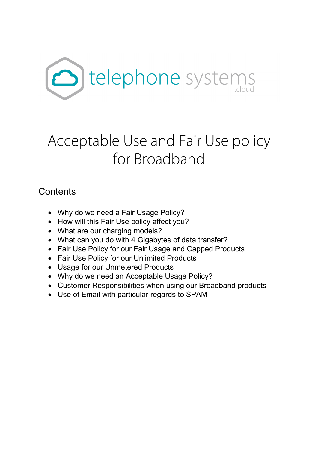

# Acceptable Use and Fair Use policy for Broadband

### **Contents**

- Why do we need a Fair Usage Policy?
- How will this Fair Use policy affect you?
- What are our charging models?
- What can you do with 4 Gigabytes of data transfer?
- Fair Use Policy for our Fair Usage and Capped Products
- Fair Use Policy for our Unlimited Products
- Usage for our Unmetered Products
- Why do we need an Acceptable Usage Policy?
- Customer Responsibilities when using our Broadband products
- Use of Email with particular regards to SPAM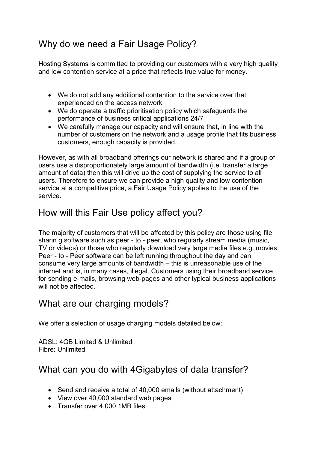# Why do we need a Fair Usage Policy?

Hosting Systems is committed to providing our customers with a very high quality and low contention service at a price that reflects true value for money.

- We do not add any additional contention to the service over that experienced on the access network
- We do operate a traffic prioritisation policy which safeguards the performance of business critical applications 24/7
- We carefully manage our capacity and will ensure that, in line with the number of customers on the network and a usage profile that fits business customers, enough capacity is provided.

However, as with all broadband offerings our network is shared and if a group of users use a disproportionately large amount of bandwidth (i.e. transfer a large amount of data) then this will drive up the cost of supplying the service to all users. Therefore to ensure we can provide a high quality and low contention service at a competitive price, a Fair Usage Policy applies to the use of the service.

## How will this Fair Use policy affect you?

The majority of customers that will be affected by this policy are those using file sharin g software such as peer - to - peer, who regularly stream media (music, TV or videos) or those who regularly download very large media files e.g. movies. Peer - to - Peer software can be left running throughout the day and can consume very large amounts of bandwidth – this is unreasonable use of the internet and is, in many cases, illegal. Customers using their broadband service for sending e-mails, browsing web-pages and other typical business applications will not be affected.

#### What are our charging models?

We offer a selection of usage charging models detailed below:

ADSL: 4GB Limited & Unlimited Fibre: Unlimited

### What can you do with 4Gigabytes of data transfer?

- Send and receive a total of 40,000 emails (without attachment)
- View over 40,000 standard web pages
- Transfer over 4,000 1MB files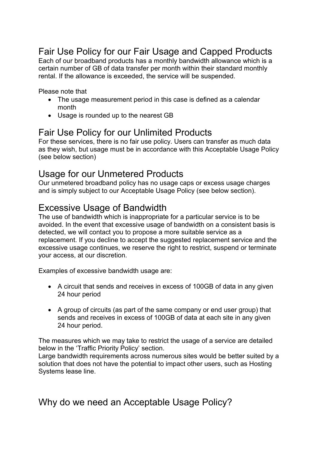# Fair Use Policy for our Fair Usage and Capped Products

Each of our broadband products has a monthly bandwidth allowance which is a certain number of GB of data transfer per month within their standard monthly rental. If the allowance is exceeded, the service will be suspended.

Please note that

- The usage measurement period in this case is defined as a calendar month
- Usage is rounded up to the nearest GB

#### Fair Use Policy for our Unlimited Products

For these services, there is no fair use policy. Users can transfer as much data as they wish, but usage must be in accordance with this Acceptable Usage Policy (see below section)

#### Usage for our Unmetered Products

Our unmetered broadband policy has no usage caps or excess usage charges and is simply subject to our Acceptable Usage Policy (see below section).

#### Excessive Usage of Bandwidth

The use of bandwidth which is inappropriate for a particular service is to be avoided. In the event that excessive usage of bandwidth on a consistent basis is detected, we will contact you to propose a more suitable service as a replacement. If you decline to accept the suggested replacement service and the excessive usage continues, we reserve the right to restrict, suspend or terminate your access, at our discretion.

Examples of excessive bandwidth usage are:

- A circuit that sends and receives in excess of 100GB of data in any given 24 hour period
- A group of circuits (as part of the same company or end user group) that sends and receives in excess of 100GB of data at each site in any given 24 hour period.

The measures which we may take to restrict the usage of a service are detailed below in the 'Traffic Priority Policy' section.

Large bandwidth requirements across numerous sites would be better suited by a solution that does not have the potential to impact other users, such as Hosting Systems lease line.

Why do we need an Acceptable Usage Policy?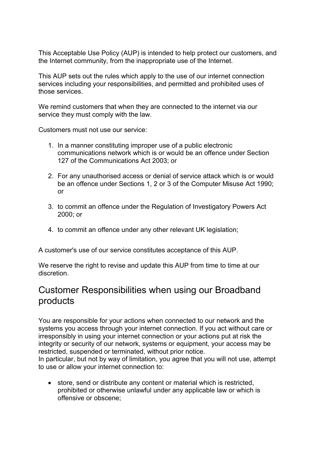This Acceptable Use Policy (AUP) is intended to help protect our customers, and the Internet community, from the inappropriate use of the Internet.

This AUP sets out the rules which apply to the use of our internet connection services including your responsibilities, and permitted and prohibited uses of those services.

We remind customers that when they are connected to the internet via our service they must comply with the law.

Customers must not use our service:

- 1. In a manner constituting improper use of a public electronic communications network which is or would be an offence under Section 127 of the Communications Act 2003; or
- 2. For any unauthorised access or denial of service attack which is or would be an offence under Sections 1, 2 or 3 of the Computer Misuse Act 1990; or
- 3. to commit an offence under the Regulation of Investigatory Powers Act 2000; or
- 4. to commit an offence under any other relevant UK legislation;

A customer's use of our service constitutes acceptance of this AUP.

We reserve the right to revise and update this AUP from time to time at our discretion.

#### Customer Responsibilities when using our Broadband products

You are responsible for your actions when connected to our network and the systems you access through your internet connection. If you act without care or irresponsibly in using your internet connection or your actions put at risk the integrity or security of our network, systems or equipment, your access may be restricted, suspended or terminated, without prior notice.

In particular, but not by way of limitation, you agree that you will not use, attempt to use or allow your internet connection to:

• store, send or distribute any content or material which is restricted, prohibited or otherwise unlawful under any applicable law or which is offensive or obscene;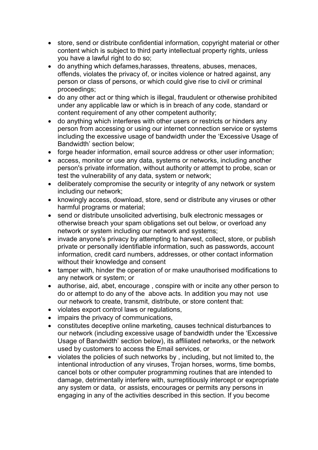- store, send or distribute confidential information, copyright material or other content which is subject to third party intellectual property rights, unless you have a lawful right to do so;
- do anything which defames,harasses, threatens, abuses, menaces, offends, violates the privacy of, or incites violence or hatred against, any person or class of persons, or which could give rise to civil or criminal proceedings;
- do any other act or thing which is illegal, fraudulent or otherwise prohibited under any applicable law or which is in breach of any code, standard or content requirement of any other competent authority;
- do anything which interferes with other users or restricts or hinders any person from accessing or using our internet connection service or systems including the excessive usage of bandwidth under the 'Excessive Usage of Bandwidth' section below;
- forge header information, email source address or other user information;
- access, monitor or use any data, systems or networks, including another person's private information, without authority or attempt to probe, scan or test the vulnerability of any data, system or network;
- deliberately compromise the security or integrity of any network or system including our network;
- knowingly access, download, store, send or distribute any viruses or other harmful programs or material;
- send or distribute unsolicited advertising, bulk electronic messages or otherwise breach your spam obligations set out below, or overload any network or system including our network and systems;
- invade anyone's privacy by attempting to harvest, collect, store, or publish private or personally identifiable information, such as passwords, account information, credit card numbers, addresses, or other contact information without their knowledge and consent
- tamper with, hinder the operation of or make unauthorised modifications to any network or system; or
- authorise, aid, abet, encourage, conspire with or incite any other person to do or attempt to do any of the above acts. In addition you may not use our network to create, transmit, distribute, or store content that:
- violates export control laws or regulations,
- impairs the privacy of communications.
- constitutes deceptive online marketing, causes technical disturbances to our network (including excessive usage of bandwidth under the 'Excessive Usage of Bandwidth' section below), its affiliated networks, or the network used by customers to access the Email services, or
- violates the policies of such networks by , including, but not limited to, the intentional introduction of any viruses, Trojan horses, worms, time bombs, cancel bots or other computer programming routines that are intended to damage, detrimentally interfere with, surreptitiously intercept or expropriate any system or data, or assists, encourages or permits any persons in engaging in any of the activities described in this section. If you become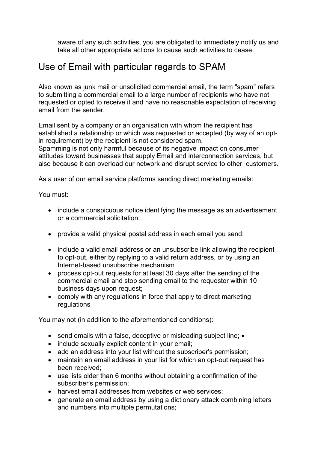aware of any such activities, you are obligated to immediately notify us and take all other appropriate actions to cause such activities to cease.

#### Use of Email with particular regards to SPAM

Also known as junk mail or unsolicited commercial email, the term "spam" refers to submitting a commercial email to a large number of recipients who have not requested or opted to receive it and have no reasonable expectation of receiving email from the sender.

Email sent by a company or an organisation with whom the recipient has established a relationship or which was requested or accepted (by way of an optin requirement) by the recipient is not considered spam.

Spamming is not only harmful because of its negative impact on consumer attitudes toward businesses that supply Email and interconnection services, but also because it can overload our network and disrupt service to other customers.

As a user of our email service platforms sending direct marketing emails:

You must:

- include a conspicuous notice identifying the message as an advertisement or a commercial solicitation;
- provide a valid physical postal address in each email you send;
- include a valid email address or an unsubscribe link allowing the recipient to opt-out, either by replying to a valid return address, or by using an Internet-based unsubscribe mechanism
- process opt-out requests for at least 30 days after the sending of the commercial email and stop sending email to the requestor within 10 business days upon request;
- comply with any regulations in force that apply to direct marketing regulations

You may not (in addition to the aforementioned conditions):

- send emails with a false, deceptive or misleading subject line; •
- include sexually explicit content in your email;
- add an address into your list without the subscriber's permission;
- maintain an email address in your list for which an opt-out request has been received;
- use lists older than 6 months without obtaining a confirmation of the subscriber's permission;
- harvest email addresses from websites or web services;
- generate an email address by using a dictionary attack combining letters and numbers into multiple permutations;